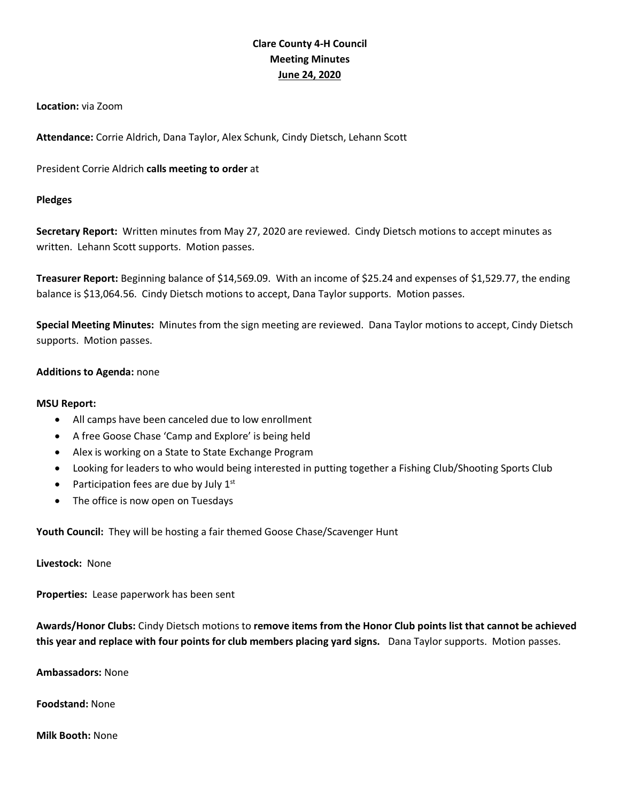# **Clare County 4-H Council Meeting Minutes June 24, 2020**

### **Location:** via Zoom

**Attendance:** Corrie Aldrich, Dana Taylor, Alex Schunk, Cindy Dietsch, Lehann Scott

President Corrie Aldrich **calls meeting to order** at

## **Pledges**

**Secretary Report:** Written minutes from May 27, 2020 are reviewed. Cindy Dietsch motions to accept minutes as written. Lehann Scott supports. Motion passes.

**Treasurer Report:** Beginning balance of \$14,569.09. With an income of \$25.24 and expenses of \$1,529.77, the ending balance is \$13,064.56. Cindy Dietsch motions to accept, Dana Taylor supports. Motion passes.

**Special Meeting Minutes:** Minutes from the sign meeting are reviewed. Dana Taylor motions to accept, Cindy Dietsch supports. Motion passes.

## **Additions to Agenda:** none

## **MSU Report:**

- All camps have been canceled due to low enrollment
- A free Goose Chase 'Camp and Explore' is being held
- Alex is working on a State to State Exchange Program
- Looking for leaders to who would being interested in putting together a Fishing Club/Shooting Sports Club
- Participation fees are due by July  $1<sup>st</sup>$
- The office is now open on Tuesdays

**Youth Council:** They will be hosting a fair themed Goose Chase/Scavenger Hunt

**Livestock:** None

**Properties:** Lease paperwork has been sent

**Awards/Honor Clubs:** Cindy Dietsch motions to **remove items from the Honor Club points list that cannot be achieved this year and replace with four points for club members placing yard signs.** Dana Taylor supports. Motion passes.

**Ambassadors:** None

**Foodstand:** None

**Milk Booth:** None